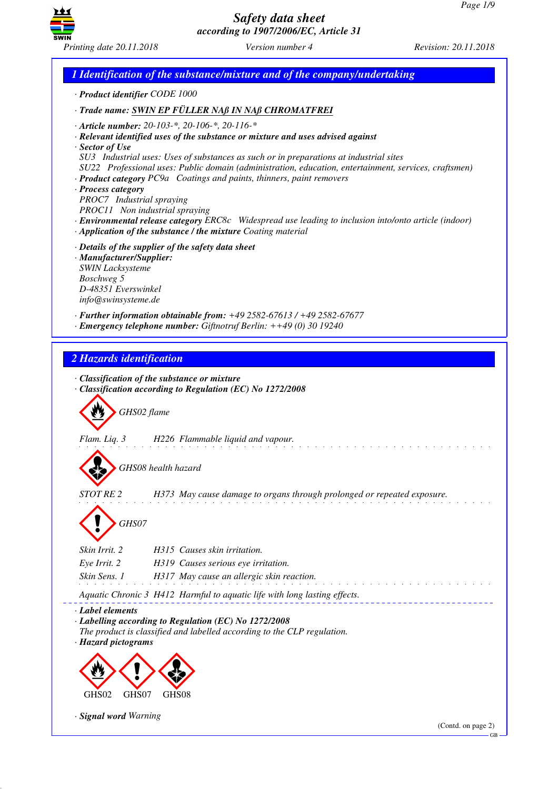

*1 Identification of the substance/mixture and of the company/undertaking · Product identifier CODE 1000 · Trade name: SWIN EP FÜLLER NAß IN NAß CHROMATFREI · Article number: 20-103-\*, 20-106-\*, 20-116-\* · Relevant identified uses of the substance or mixture and uses advised against · Sector of Use SU3 Industrial uses: Uses of substances as such or in preparations at industrial sites SU22 Professional uses: Public domain (administration, education, entertainment, services, craftsmen) · Product category PC9a Coatings and paints, thinners, paint removers · Process category PROC7 Industrial spraying PROC11 Non industrial spraying · Environmental release category ERC8c Widespread use leading to inclusion into/onto article (indoor) · Application of the substance / the mixture Coating material · Details of the supplier of the safety data sheet · Manufacturer/Supplier: SWIN Lacksysteme Boschweg 5 D-48351 Everswinkel info@swinsysteme.de · Further information obtainable from: +49 2582-67613 / +49 2582-67677 · Emergency telephone number: Giftnotruf Berlin: ++49 (0) 30 19240 2 Hazards identification · Classification of the substance or mixture · Classification according to Regulation (EC) No 1272/2008* d~*GHS02 flame Flam. Liq. 3 H226 Flammable liquid and vapour.* d~*GHS08 health hazard STOT RE 2 H373 May cause damage to organs through prolonged or repeated exposure.* d~*GHS07 Skin Irrit. 2 H315 Causes skin irritation. Eye Irrit. 2 H319 Causes serious eye irritation. Skin Sens. 1 H317 May cause an allergic skin reaction. Aquatic Chronic 3 H412 Harmful to aquatic life with long lasting effects. · Label elements · Labelling according to Regulation (EC) No 1272/2008 The product is classified and labelled according to the CLP regulation. · Hazard pictograms* < GHS02  $\langle \cdot \rangle$ GHS<sub>07</sub>  $\Leftrightarrow$  $GHS$ *· Signal word Warning* (Contd. on page 2) GB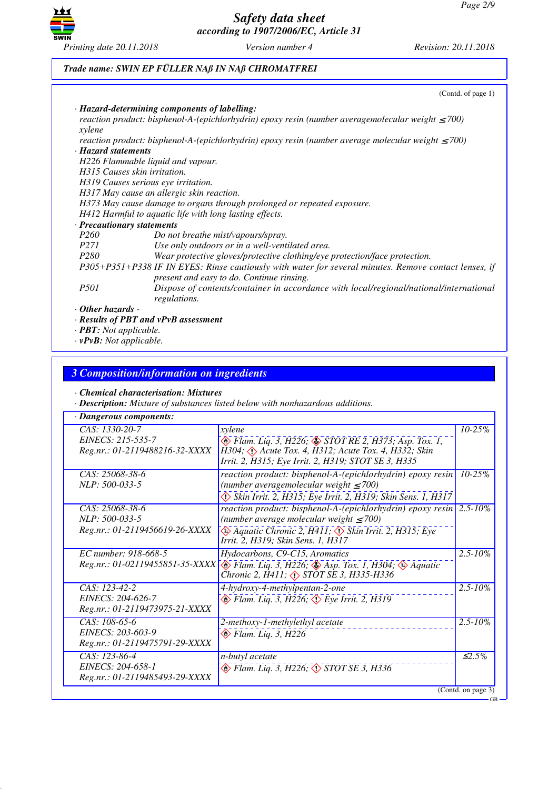

# *Trade name: SWIN EP FÜLLER NAß IN NAß CHROMATFREI*

|                                                                       | (Contd. of page 1)                                                                                                                                 |
|-----------------------------------------------------------------------|----------------------------------------------------------------------------------------------------------------------------------------------------|
| · Hazard-determining components of labelling:                         |                                                                                                                                                    |
|                                                                       | reaction product: bisphenol-A-(epichlorhydrin) epoxy resin (number averagemolecular weight $\leq$ 700)                                             |
| xylene                                                                |                                                                                                                                                    |
|                                                                       | reaction product: bisphenol-A-(epichlorhydrin) epoxy resin (number average molecular weight $\leq$ 700)                                            |
| · Hazard statements                                                   |                                                                                                                                                    |
| H226 Flammable liquid and vapour.                                     |                                                                                                                                                    |
| H315 Causes skin irritation.                                          |                                                                                                                                                    |
| H319 Causes serious eye irritation.                                   |                                                                                                                                                    |
| H317 May cause an allergic skin reaction.                             |                                                                                                                                                    |
|                                                                       | H373 May cause damage to organs through prolonged or repeated exposure.                                                                            |
| H412 Harmful to aquatic life with long lasting effects.               |                                                                                                                                                    |
| · Precautionary statements                                            |                                                                                                                                                    |
| P <sub>260</sub>                                                      | Do not breathe mist/vapours/spray.                                                                                                                 |
| <i>P271</i>                                                           | Use only outdoors or in a well-ventilated area.                                                                                                    |
| <i>P280</i>                                                           | Wear protective gloves/protective clothing/eye protection/face protection.                                                                         |
|                                                                       | P305+P351+P338 IF IN EYES: Rinse cautiously with water for several minutes. Remove contact lenses, if<br>present and easy to do. Continue rinsing. |
| <i>P501</i><br>regulations.                                           | Dispose of contents/container in accordance with local/regional/national/international                                                             |
| $\cdot$ Other hazards -<br>$\cdot$ Results of PBT and vPvB assessment |                                                                                                                                                    |

*· PBT: Not applicable. · vPvB: Not applicable.*

# *3 Composition/information on ingredients*

### *· Chemical characterisation: Mixtures*

*· Description: Mixture of substances listed below with nonhazardous additions.*

| · Dangerous components:                                                |                                                                                                                                                                                                                                |                    |  |
|------------------------------------------------------------------------|--------------------------------------------------------------------------------------------------------------------------------------------------------------------------------------------------------------------------------|--------------------|--|
| CAS: 1330-20-7<br>EINECS: 215-535-7<br>Reg.nr.: 01-2119488216-32-XXXX  | xylene<br><b>◆</b> Flam. Liq. 3, H226; ◆ STOT RE 2, H373; Asp. Tox. 1,<br>$H304$ ; $\langle \cdot \rangle$ Acute Tox. 4, H312; Acute Tox. 4, H332; Skin<br>Irrit. 2, H315; Eye Irrit. 2, H319; STOT SE 3, H335                 | $10 - 25%$         |  |
| CAS: 25068-38-6<br>NLP: 500-033-5                                      | reaction product: bisphenol-A-(epichlorhydrin) epoxy resin 10-25%<br>(number averagemolecular weight $\leq 700$ )<br>Skin Irrit. 2, H315; Eye Irrit. 2, H319; Skin Sens. 1, H317                                               |                    |  |
| CAS: 25068-38-6<br>NLP: 500-033-5<br>Reg.nr.: 01-2119456619-26-XXXX    | reaction product: bisphenol-A-(epichlorhydrin) epoxy resin $ 2.5-10\% $<br>(number average molecular weight $\leq 700$ )<br>Aquatic Chronic 2, H411; $\Diamond$ Skin Irrit. 2, H315; Eye<br>Irrit. 2, H319; Skin Sens. 1, H317 |                    |  |
| EC number: 918-668-5<br>Reg.nr.: 01-02119455851-35-XXXX                | Hydocarbons, C9-C15, Aromatics<br>$\otimes$ Flam. Liq. 3, H226; $\otimes$ Asp. Tox. 1, H304; $\otimes$ Aquatic<br>Chronic 2, $\overline{H}411$ ; $\langle \rangle$ STOT SE 3, H335-H336                                        | $2.5 - 10\%$       |  |
| CAS: 123-42-2<br>EINECS: 204-626-7<br>Reg.nr.: 01-2119473975-21-XXXX   | 4-hydroxy-4-methylpentan-2-one<br>$\otimes$ Flam. Liq. 3, H226; $\otimes$ Eye Irrit. 2, H319                                                                                                                                   | $2.5 - 10\%$       |  |
| CAS: 108-65-6<br>EINECS: 203-603-9<br>Reg.nr.: 01-2119475791-29-XXXX   | 2-methoxy-1-methylethyl acetate<br>$\otimes$ Flam. Liq. 3, H226                                                                                                                                                                | $2.5 - 10\%$       |  |
| $CAS: 123-86-4$<br>EINECS: 204-658-1<br>Reg.nr.: 01-2119485493-29-XXXX | n-butyl acetate<br>$\circledast$ Flam. Liq. 3, H226; $\circledast$ STOT SE 3, H336                                                                                                                                             | $\leq 2.5\%$       |  |
|                                                                        |                                                                                                                                                                                                                                | (Contd. on page 3) |  |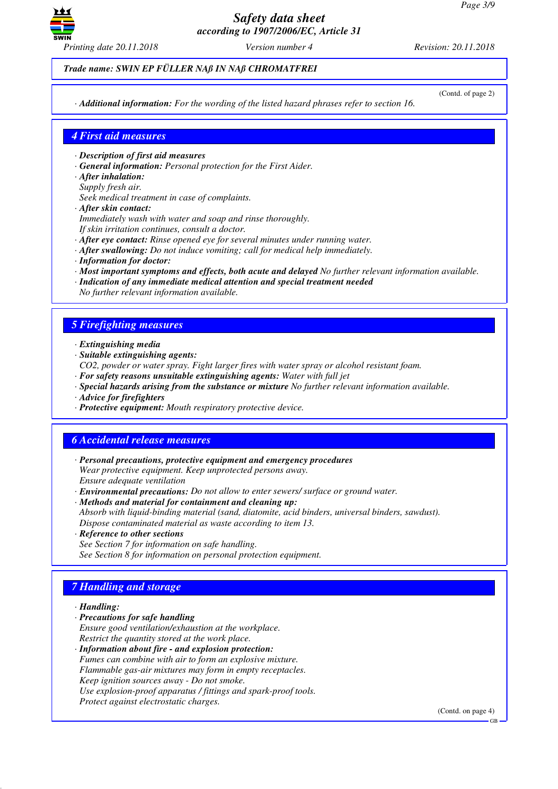

*Trade name: SWIN EP FÜLLER NAß IN NAß CHROMATFREI*

(Contd. of page 2)

*· Additional information: For the wording of the listed hazard phrases refer to section 16.*

### *4 First aid measures*

- *· Description of first aid measures*
- *· General information: Personal protection for the First Aider.*
- *· After inhalation:*
- *Supply fresh air.*
- *Seek medical treatment in case of complaints.*
- *· After skin contact:*
- *Immediately wash with water and soap and rinse thoroughly.*
- *If skin irritation continues, consult a doctor.*
- *· After eye contact: Rinse opened eye for several minutes under running water.*
- *· After swallowing: Do not induce vomiting; call for medical help immediately.*
- *· Information for doctor:*
- *· Most important symptoms and effects, both acute and delayed No further relevant information available.*
- *· Indication of any immediate medical attention and special treatment needed No further relevant information available.*

# *5 Firefighting measures*

- *· Extinguishing media*
- *· Suitable extinguishing agents:*
- *CO2, powder or water spray. Fight larger fires with water spray or alcohol resistant foam.*
- *· For safety reasons unsuitable extinguishing agents: Water with full jet*
- *· Special hazards arising from the substance or mixture No further relevant information available.*
- *· Advice for firefighters*
- *· Protective equipment: Mouth respiratory protective device.*

# *6 Accidental release measures*

- *· Personal precautions, protective equipment and emergency procedures Wear protective equipment. Keep unprotected persons away. Ensure adequate ventilation*
- *· Environmental precautions: Do not allow to enter sewers/ surface or ground water.*
- *· Methods and material for containment and cleaning up:*
- *Absorb with liquid-binding material (sand, diatomite, acid binders, universal binders, sawdust). Dispose contaminated material as waste according to item 13.*
- *· Reference to other sections*
- *See Section 7 for information on safe handling. See Section 8 for information on personal protection equipment.*

# *7 Handling and storage*

- *· Handling:*
- *· Precautions for safe handling*
- *Ensure good ventilation/exhaustion at the workplace. Restrict the quantity stored at the work place.*
- *· Information about fire and explosion protection: Fumes can combine with air to form an explosive mixture. Flammable gas-air mixtures may form in empty receptacles. Keep ignition sources away - Do not smoke. Use explosion-proof apparatus / fittings and spark-proof tools. Protect against electrostatic charges.*

(Contd. on page 4)

GB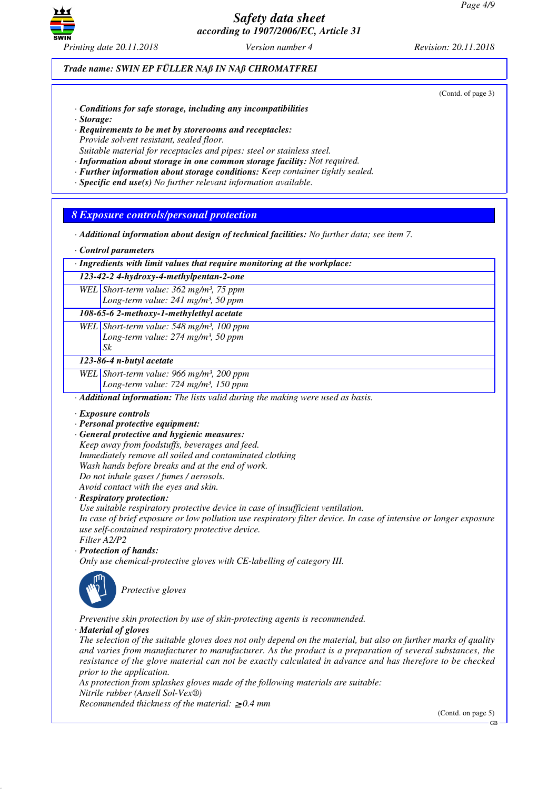

*Trade name: SWIN EP FÜLLER NAß IN NAß CHROMATFREI*

(Contd. of page 3)

- *· Conditions for safe storage, including any incompatibilities*
- *· Storage:*
- *· Requirements to be met by storerooms and receptacles: Provide solvent resistant, sealed floor. Suitable material for receptacles and pipes: steel or stainless steel.*
- *· Information about storage in one common storage facility: Not required.*
- *· Further information about storage conditions: Keep container tightly sealed.*
- *· Specific end use(s) No further relevant information available.*
- 

### *8 Exposure controls/personal protection*

- *· Additional information about design of technical facilities: No further data; see item 7.*
- *· Control parameters*
- *· Ingredients with limit values that require monitoring at the workplace:*

*123-42-2 4-hydroxy-4-methylpentan-2-one WEL Short-term value: 362 mg/m³, 75 ppm*

*Long-term value: 241 mg/m³, 50 ppm*

*108-65-6 2-methoxy-1-methylethyl acetate*

*WEL Short-term value: 548 mg/m³, 100 ppm Long-term value: 274 mg/m³, 50 ppm Sk*

#### *123-86-4 n-butyl acetate*

*WEL Short-term value: 966 mg/m³, 200 ppm*

*Long-term value: 724 mg/m³, 150 ppm*

*· Additional information: The lists valid during the making were used as basis.*

- *· Exposure controls*
- *· Personal protective equipment:*
- *· General protective and hygienic measures:*

*Keep away from foodstuffs, beverages and feed. Immediately remove all soiled and contaminated clothing Wash hands before breaks and at the end of work.*

- *Do not inhale gases / fumes / aerosols.*
- *Avoid contact with the eyes and skin.*

*· Respiratory protection:*

*Use suitable respiratory protective device in case of insufficient ventilation.*

*In case of brief exposure or low pollution use respiratory filter device. In case of intensive or longer exposure use self-contained respiratory protective device.*

*Filter A2/P2*

*· Protection of hands:*

*Only use chemical-protective gloves with CE-labelling of category III.*



\_S*Protective gloves*

*Preventive skin protection by use of skin-protecting agents is recommended.*

*· Material of gloves*

*The selection of the suitable gloves does not only depend on the material, but also on further marks of quality and varies from manufacturer to manufacturer. As the product is a preparation of several substances, the resistance of the glove material can not be exactly calculated in advance and has therefore to be checked prior to the application.*

*As protection from splashes gloves made of the following materials are suitable:*

*Nitrile rubber (Ansell Sol-Vex®)*

*Recommended thickness of the material:* ≥ *0.4 mm*

(Contd. on page 5)

GB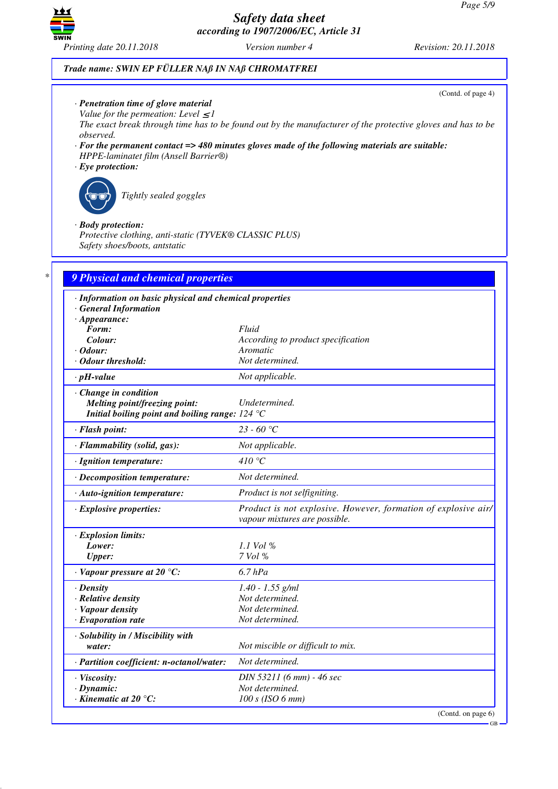

### *Trade name: SWIN EP FÜLLER NAß IN NAß CHROMATFREI*

(Contd. of page 4)

GB

- *· Penetration time of glove material*
- *Value for the permeation: Level*  $\leq$  *I*

*The exact break through time has to be found out by the manufacturer of the protective gloves and has to be observed.*

- *· For the permanent contact => 480 minutes gloves made of the following materials are suitable: HPPE-laminatet film (Ansell Barrier®)*
- *· Eye protection:*



\_R*Tightly sealed goggles*

### *· Body protection:*

*Protective clothing, anti-static (TYVEK® CLASSIC PLUS) Safety shoes/boots, antstatic*

| · Information on basic physical and chemical properties |                                                                                                 |
|---------------------------------------------------------|-------------------------------------------------------------------------------------------------|
| · General Information<br>$\cdot$ Appearance:            |                                                                                                 |
| Form:                                                   | Fluid                                                                                           |
| Colour:                                                 | According to product specification                                                              |
| $\cdot$ Odour:                                          | Aromatic                                                                                        |
| Odour threshold:                                        | Not determined.                                                                                 |
| $\cdot$ pH-value                                        | Not applicable.                                                                                 |
| · Change in condition                                   |                                                                                                 |
| Melting point/freezing point:                           | Undetermined.                                                                                   |
| Initial boiling point and boiling range: $124 °C$       |                                                                                                 |
| · Flash point:                                          | 23 - 60 °C                                                                                      |
| · Flammability (solid, gas):                            | Not applicable.                                                                                 |
| · Ignition temperature:                                 | 410 $\degree$ C                                                                                 |
| · Decomposition temperature:                            | Not determined.                                                                                 |
| · Auto-ignition temperature:                            | Product is not selfigniting.                                                                    |
| $\cdot$ Explosive properties:                           | Product is not explosive. However, formation of explosive air/<br>vapour mixtures are possible. |
| · Explosion limits:                                     |                                                                                                 |
| Lower:                                                  | 1.1 Vol %                                                                                       |
| <b>Upper:</b>                                           | 7 Vol %                                                                                         |
| $\cdot$ Vapour pressure at 20 °C:                       | $6.7$ hPa                                                                                       |
| $\cdot$ Density                                         | $1.40 - 1.55$ g/ml                                                                              |
| · Relative density                                      | Not determined.                                                                                 |
| · Vapour density                                        | Not determined.                                                                                 |
| $\cdot$ Evaporation rate                                | Not determined.                                                                                 |
| · Solubility in / Miscibility with                      |                                                                                                 |
| water:                                                  | Not miscible or difficult to mix.                                                               |
| · Partition coefficient: n-octanol/water:               | Not determined.                                                                                 |
| · Viscosity:                                            | DIN 53211 (6 mm) - 46 sec                                                                       |
| $\cdot$ Dynamic:                                        | Not determined.                                                                                 |
| $\cdot$ Kinematic at 20 $\degree$ C:                    | $100 s$ (ISO 6 mm)                                                                              |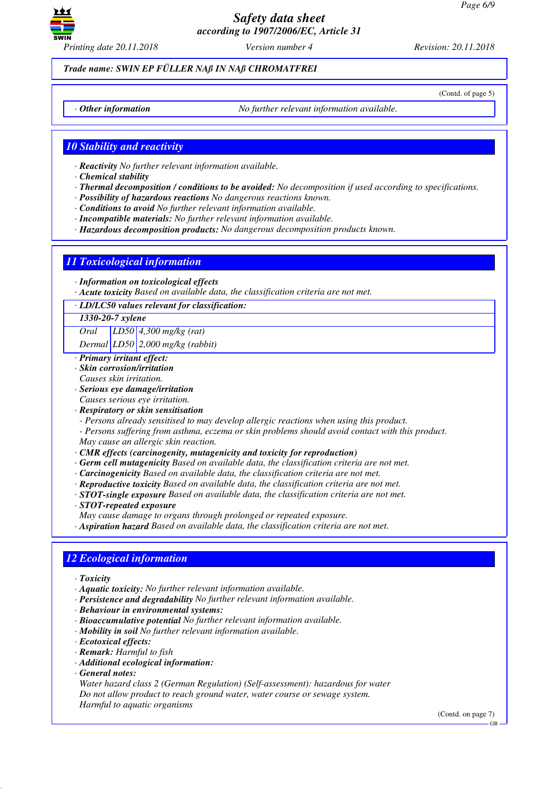

*Printing date 20.11.2018 Version number 4 Revision: 20.11.2018*

*Trade name: SWIN EP FÜLLER NAß IN NAß CHROMATFREI*

(Contd. of page 5)

*· Other information No further relevant information available.*

*10 Stability and reactivity*

*· Reactivity No further relevant information available.*

*· Chemical stability*

- *· Thermal decomposition / conditions to be avoided: No decomposition if used according to specifications.*
- *· Possibility of hazardous reactions No dangerous reactions known.*
- *· Conditions to avoid No further relevant information available.*
- *· Incompatible materials: No further relevant information available.*
- *· Hazardous decomposition products: No dangerous decomposition products known.*

## *11 Toxicological information*

- *· Information on toxicological effects*
- *· Acute toxicity Based on available data, the classification criteria are not met.*
- *· LD/LC50 values relevant for classification:*

#### *1330-20-7 xylene*

*Oral LD50 4,300 mg/kg (rat)*

*Dermal LD50 2,000 mg/kg (rabbit)*

- *· Primary irritant effect:*
- *· Skin corrosion/irritation*
- *Causes skin irritation.*
- *· Serious eye damage/irritation*
- *Causes serious eye irritation.*
- *· Respiratory or skin sensitisation*
- *Persons already sensitised to may develop allergic reactions when using this product.*
- *Persons suffering from asthma, eczema or skin problems should avoid contact with this product. May cause an allergic skin reaction.*
- *· CMR effects (carcinogenity, mutagenicity and toxicity for reproduction)*
- *· Germ cell mutagenicity Based on available data, the classification criteria are not met.*
- *· Carcinogenicity Based on available data, the classification criteria are not met.*
- *· Reproductive toxicity Based on available data, the classification criteria are not met.*
- *· STOT-single exposure Based on available data, the classification criteria are not met.*
- *· STOT-repeated exposure*

*May cause damage to organs through prolonged or repeated exposure.*

*· Aspiration hazard Based on available data, the classification criteria are not met.*

### *12 Ecological information*

- *· Toxicity*
- *· Aquatic toxicity: No further relevant information available.*
- *· Persistence and degradability No further relevant information available.*
- *· Behaviour in environmental systems:*
- *· Bioaccumulative potential No further relevant information available.*
- *· Mobility in soil No further relevant information available.*
- *· Ecotoxical effects:*
- *· Remark: Harmful to fish*
- *· Additional ecological information:*
- *· General notes:*

*Water hazard class 2 (German Regulation) (Self-assessment): hazardous for water Do not allow product to reach ground water, water course or sewage system. Harmful to aquatic organisms*

(Contd. on page 7)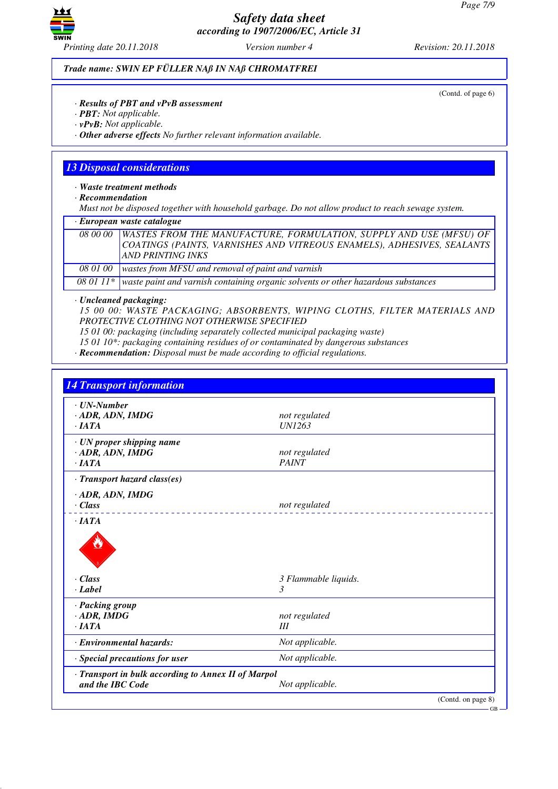

*Trade name: SWIN EP FÜLLER NAß IN NAß CHROMATFREI*

(Contd. of page 6)

- *· Results of PBT and vPvB assessment*
- *· PBT: Not applicable.*
- *· vPvB: Not applicable.*

*· Other adverse effects No further relevant information available.*

## *13 Disposal considerations*

*· Waste treatment methods*

*· Recommendation*

*Must not be disposed together with household garbage. Do not allow product to reach sewage system.*

| · European waste catalogue |                                                                                                                                                                                     |  |  |
|----------------------------|-------------------------------------------------------------------------------------------------------------------------------------------------------------------------------------|--|--|
|                            | 08 00 00   WASTES FROM THE MANUFACTURE, FORMULATION, SUPPLY AND USE (MFSU) OF<br>COATINGS (PAINTS, VARNISHES AND VITREOUS ENAMELS), ADHESIVES, SEALANTS<br><b>AND PRINTING INKS</b> |  |  |
| 08 01 00                   | wastes from MFSU and removal of paint and varnish                                                                                                                                   |  |  |
|                            | 08 01 11 $*$ waste paint and varnish containing organic solvents or other hazardous substances                                                                                      |  |  |

*· Uncleaned packaging:*

*15 00 00: WASTE PACKAGING; ABSORBENTS, WIPING CLOTHS, FILTER MATERIALS AND PROTECTIVE CLOTHING NOT OTHERWISE SPECIFIED*

*15 01 00: packaging (including separately collected municipal packaging waste)*

*15 01 10\*: packaging containing residues of or contaminated by dangerous substances*

*· Recommendation: Disposal must be made according to official regulations.*

| $\cdot$ UN-Number                                                       |                      |  |
|-------------------------------------------------------------------------|----------------------|--|
| $\cdot$ ADR, ADN, IMDG                                                  | not regulated        |  |
| $\cdot$ <i>IATA</i>                                                     | <b>UN1263</b>        |  |
| · UN proper shipping name                                               |                      |  |
| $\cdot$ ADR, ADN, IMDG                                                  | not regulated        |  |
| $\cdot$ IATA                                                            | <b>PAINT</b>         |  |
| · Transport hazard class(es)                                            |                      |  |
| $\cdot$ ADR, ADN, IMDG                                                  |                      |  |
| $\cdot$ Class                                                           | not regulated        |  |
|                                                                         |                      |  |
| $\cdot$ Class                                                           | 3 Flammable liquids. |  |
| · Label                                                                 | 3                    |  |
| · Packing group                                                         |                      |  |
| $\cdot$ ADR, IMDG                                                       | not regulated        |  |
| $\cdot$ <i>IATA</i>                                                     | III                  |  |
| · Environmental hazards:                                                | Not applicable.      |  |
| · Special precautions for user                                          | Not applicable.      |  |
| · Transport in bulk according to Annex II of Marpol<br>and the IBC Code | Not applicable.      |  |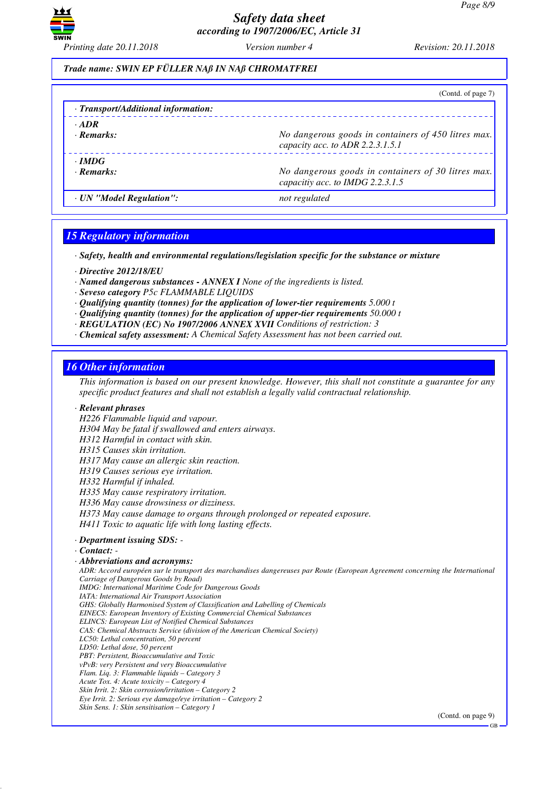

### *Trade name: SWIN EP FÜLLER NAß IN NAß CHROMATFREI*

|                                     | (Contd. of page 7)                                                                      |
|-------------------------------------|-----------------------------------------------------------------------------------------|
| · Transport/Additional information: |                                                                                         |
| $\cdot$ ADR                         |                                                                                         |
| · Remarks:                          | No dangerous goods in containers of 450 litres max.<br>capacity acc. to ADR 2.2.3.1.5.1 |
| $\cdot$ IMDG                        |                                                                                         |
| $\cdot$ Remarks:                    | No dangerous goods in containers of 30 litres max.<br>capacitiy acc. to IMDG 2.2.3.1.5  |
| · UN "Model Regulation":            | not regulated                                                                           |

### *15 Regulatory information*

*· Safety, health and environmental regulations/legislation specific for the substance or mixture*

*· Directive 2012/18/EU*

*· Named dangerous substances - ANNEX I None of the ingredients is listed.*

- *· Seveso category P5c FLAMMABLE LIQUIDS*
- *· Qualifying quantity (tonnes) for the application of lower-tier requirements 5.000 t*
- *· Qualifying quantity (tonnes) for the application of upper-tier requirements 50.000 t*
- *· REGULATION (EC) No 1907/2006 ANNEX XVII Conditions of restriction: 3*
- *· Chemical safety assessment: A Chemical Safety Assessment has not been carried out.*

### *16 Other information*

*This information is based on our present knowledge. However, this shall not constitute a guarantee for any specific product features and shall not establish a legally valid contractual relationship.*

#### *· Relevant phrases*

*H226 Flammable liquid and vapour. H304 May be fatal if swallowed and enters airways. H312 Harmful in contact with skin. H315 Causes skin irritation. H317 May cause an allergic skin reaction. H319 Causes serious eye irritation. H332 Harmful if inhaled. H335 May cause respiratory irritation. H336 May cause drowsiness or dizziness. H373 May cause damage to organs through prolonged or repeated exposure. H411 Toxic to aquatic life with long lasting effects. · Department issuing SDS: - · Contact: - · Abbreviations and acronyms: ADR: Accord européen sur le transport des marchandises dangereuses par Route (European Agreement concerning the International Carriage of Dangerous Goods by Road) IMDG: International Maritime Code for Dangerous Goods IATA: International Air Transport Association GHS: Globally Harmonised System of Classification and Labelling of Chemicals EINECS: European Inventory of Existing Commercial Chemical Substances ELINCS: European List of Notified Chemical Substances CAS: Chemical Abstracts Service (division of the American Chemical Society) LC50: Lethal concentration, 50 percent LD50: Lethal dose, 50 percent PBT: Persistent, Bioaccumulative and Toxic vPvB: very Persistent and very Bioaccumulative Flam. Liq. 3: Flammable liquids – Category 3 Acute Tox. 4: Acute toxicity – Category 4 Skin Irrit. 2: Skin corrosion/irritation – Category 2 Eye Irrit. 2: Serious eye damage/eye irritation – Category 2 Skin Sens. 1: Skin sensitisation – Category 1*

(Contd. on page 9)

GB